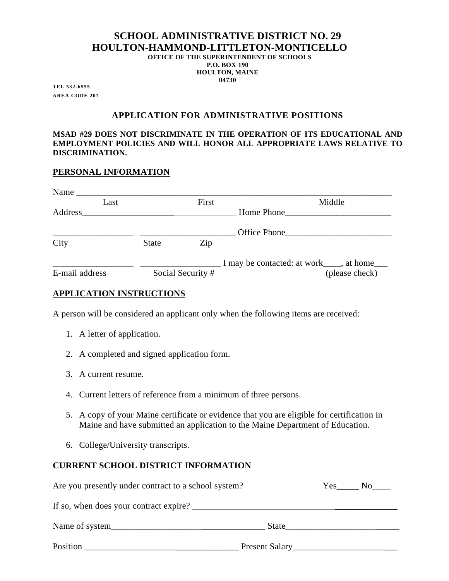### **SCHOOL ADMINISTRATIVE DISTRICT NO. 29 HOULTON-HAMMOND-LITTLETON-MONTICELLO OFFICE OF THE SUPERINTENDENT OF SCHOOLS P.O. BOX 190**

**HOULTON, MAINE 04730** 

**TEL 532-6555 AREA CODE 207** 

### **APPLICATION FOR ADMINISTRATIVE POSITIONS**

#### **MSAD #29 DOES NOT DISCRIMINATE IN THE OPERATION OF ITS EDUCATIONAL AND EMPLOYMENT POLICIES AND WILL HONOR ALL APPROPRIATE LAWS RELATIVE TO DISCRIMINATION.**

#### **PERSONAL INFORMATION**

| Name           |      |              |                   |                                             |
|----------------|------|--------------|-------------------|---------------------------------------------|
|                | Last |              | First             | Middle                                      |
| Address        |      |              |                   | Home Phone                                  |
|                |      |              |                   | Office Phone                                |
| City           |      | <b>State</b> | Zip               |                                             |
|                |      |              |                   | I may be contacted: at work____, at home___ |
| E-mail address |      |              | Social Security # | (please check)                              |

## **APPLICATION INSTRUCTIONS**

A person will be considered an applicant only when the following items are received:

- 1. A letter of application.
- 2. A completed and signed application form.
- 3. A current resume.
- 4. Current letters of reference from a minimum of three persons.
- 5. A copy of your Maine certificate or evidence that you are eligible for certification in Maine and have submitted an application to the Maine Department of Education.
- 6. College/University transcripts.

## **CURRENT SCHOOL DISTRICT INFORMATION**

| Are you presently under contract to a school system? | Yes<br>$\bf{No}$ |  |
|------------------------------------------------------|------------------|--|
| If so, when does your contract expire?               |                  |  |
|                                                      | State            |  |
| Position                                             | Present Salary   |  |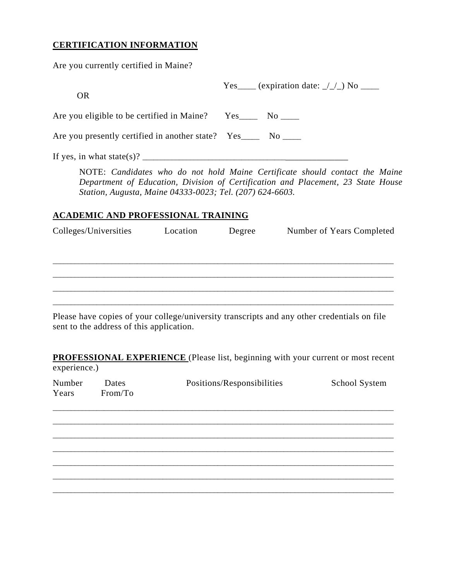# **CERTIFICATION INFORMATION**

Are you currently certified in Maine?

experience.)

| <b>OR</b>                                                                                                                                                                                                                                                                             | Yes____ (expiration date: $\angle$ / $\angle$ ) No ____                                                                                                         |
|---------------------------------------------------------------------------------------------------------------------------------------------------------------------------------------------------------------------------------------------------------------------------------------|-----------------------------------------------------------------------------------------------------------------------------------------------------------------|
| Are you eligible to be certified in Maine? Yes______ No _____                                                                                                                                                                                                                         |                                                                                                                                                                 |
| Are you presently certified in another state? Yes______ No _____                                                                                                                                                                                                                      |                                                                                                                                                                 |
| If yes, in what state(s)? $\frac{1}{2}$ [1] $\frac{1}{2}$ [1] $\frac{1}{2}$ [1] $\frac{1}{2}$ [1] $\frac{1}{2}$ [1] $\frac{1}{2}$ [1] $\frac{1}{2}$ [1] $\frac{1}{2}$ [1] $\frac{1}{2}$ [1] $\frac{1}{2}$ [1] $\frac{1}{2}$ [1] $\frac{1}{2}$ [1] $\frac{1}{2}$ [1] $\frac{1}{2}$ [1] |                                                                                                                                                                 |
| Station, Augusta, Maine 04333-0023; Tel. (207) 624-6603.<br><b>ACADEMIC AND PROFESSIONAL TRAINING</b>                                                                                                                                                                                 | NOTE: Candidates who do not hold Maine Certificate should contact the Maine<br>Department of Education, Division of Certification and Placement, 23 State House |
| Colleges/Universities Location Degree                                                                                                                                                                                                                                                 | Number of Years Completed                                                                                                                                       |
| sent to the address of this application.                                                                                                                                                                                                                                              | Please have copies of your college/university transcripts and any other credentials on file                                                                     |
|                                                                                                                                                                                                                                                                                       | <b>PROFESSIONAL EXPERIENCE</b> (Please list, beginning with your current or most recent                                                                         |

Number Dates Positions/Responsibilities School System Years From/To  $\_$  ,  $\_$  ,  $\_$  ,  $\_$  ,  $\_$  ,  $\_$  ,  $\_$  ,  $\_$  ,  $\_$  ,  $\_$  ,  $\_$  ,  $\_$  ,  $\_$  ,  $\_$  ,  $\_$  ,  $\_$  ,  $\_$  ,  $\_$  ,  $\_$  ,  $\_$  ,  $\_$  ,  $\_$  ,  $\_$  ,  $\_$  ,  $\_$  ,  $\_$  ,  $\_$  ,  $\_$  ,  $\_$  ,  $\_$  ,  $\_$  ,  $\_$  ,  $\_$  ,  $\_$  ,  $\_$  ,  $\_$  ,  $\_$  ,  $\_$  ,  $\_$  ,  $\_$  ,  $\_$  ,  $\_$  ,  $\_$  ,  $\_$  ,  $\_$  ,  $\_$  ,  $\_$  ,  $\_$  ,  $\_$  ,  $\_$  ,  $\_$  ,  $\_$  ,  $\_$  ,  $\_$  ,  $\_$  ,  $\_$  ,  $\_$  ,  $\_$  ,  $\_$  ,  $\_$  ,  $\_$  ,  $\_$  ,  $\_$  ,  $\_$  ,  $\_$  ,  $\_$  ,  $\_$  ,  $\_$  ,  $\_$  ,  $\_$  ,  $\_$  ,  $\_$  ,  $\_$  ,  $\_$  ,  $\_$  ,  $\_$  ,  $\_$  ,  $\_$  ,  $\_$  ,  $\_$  ,  $\_$  ,  $\_$  ,  $\_$  ,  $\_$  ,  $\_$  ,  $\_$  ,  $\_$  ,  $\_$  ,  $\_$  ,  $\_$  ,  $\_$  ,  $\_$  ,  $\_$  ,  $\_$  ,  $\_$  ,  $\_$  ,  $\_$  ,  $\_$  ,  $\_$  ,  $\_$  ,  $\_$  ,  $\_$  ,  $\_$  ,  $\_$  ,  $\_$  ,  $\_$  ,  $\_$  ,  $\_$  ,  $\_$  ,  $\_$  ,  $\_$  ,  $\_$  ,  $\_$  ,  $\_$  ,  $\_$  ,  $\_$  ,  $\_$  ,  $\_$  ,  $\_$  ,  $\_$  ,  $\_$  ,  $\_$  ,  $\_$  ,  $\_$  ,  $\_$  ,  $\_$  ,  $\_$  ,  $\_$  ,  $\_$  ,  $\_$  ,  $\_$  ,  $\_$  ,  $\_$  ,  $\_$  ,  $\_$  ,  $\_$  ,  $\_$  ,  $\_$  ,  $\_$  ,  $\_$  ,  $\_$  ,  $\_$  ,  $\_$  ,  $\_$  ,  $\_$  ,  $\_$  ,  $\_$  ,  $\_$  , \_\_\_\_\_\_\_\_\_\_\_\_\_\_\_\_\_\_\_\_\_\_\_\_\_\_\_\_\_\_\_\_\_\_\_\_\_\_\_\_\_\_\_\_\_\_\_\_\_\_\_\_\_\_\_\_\_\_\_\_\_\_\_\_\_\_\_\_\_\_\_\_\_\_\_\_\_\_\_\_\_\_\_\_\_\_\_\_\_\_\_\_\_ \_\_\_\_\_\_\_\_\_\_\_\_\_\_\_\_\_\_\_\_\_\_\_\_\_\_\_\_\_\_\_\_\_\_\_\_\_\_\_\_\_\_\_\_\_\_\_\_\_\_\_\_\_\_\_\_\_\_\_\_\_\_\_\_\_\_\_\_\_\_\_\_\_\_\_\_\_\_\_\_\_\_\_\_\_\_\_\_\_\_\_\_\_  $\_$  ,  $\_$  ,  $\_$  ,  $\_$  ,  $\_$  ,  $\_$  ,  $\_$  ,  $\_$  ,  $\_$  ,  $\_$  ,  $\_$  ,  $\_$  ,  $\_$  ,  $\_$  ,  $\_$  ,  $\_$  ,  $\_$  ,  $\_$  ,  $\_$  ,  $\_$  ,  $\_$  ,  $\_$  ,  $\_$  ,  $\_$  ,  $\_$  ,  $\_$  ,  $\_$  ,  $\_$  ,  $\_$  ,  $\_$  ,  $\_$  ,  $\_$  ,  $\_$  ,  $\_$  ,  $\_$  ,  $\_$  ,  $\_$  ,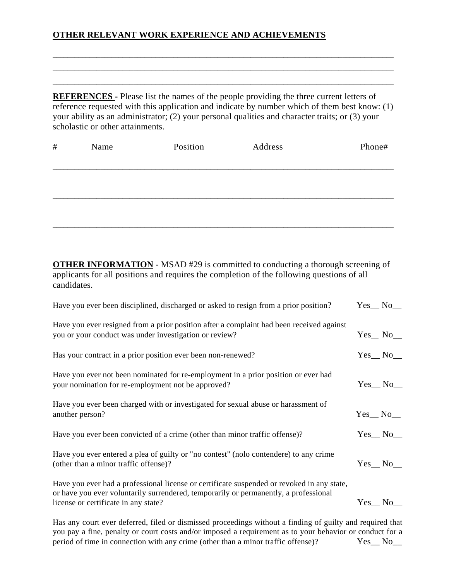## **OTHER RELEVANT WORK EXPERIENCE AND ACHIEVEMENTS**

**REFERENCES -** Please list the names of the people providing the three current letters of reference requested with this application and indicate by number which of them best know: (1) your ability as an administrator; (2) your personal qualities and character traits; or (3) your scholastic or other attainments.

 $\_$  ,  $\_$  ,  $\_$  ,  $\_$  ,  $\_$  ,  $\_$  ,  $\_$  ,  $\_$  ,  $\_$  ,  $\_$  ,  $\_$  ,  $\_$  ,  $\_$  ,  $\_$  ,  $\_$  ,  $\_$  ,  $\_$  ,  $\_$  ,  $\_$  ,  $\_$  ,  $\_$  ,  $\_$  ,  $\_$  ,  $\_$  ,  $\_$  ,  $\_$  ,  $\_$  ,  $\_$  ,  $\_$  ,  $\_$  ,  $\_$  ,  $\_$  ,  $\_$  ,  $\_$  ,  $\_$  ,  $\_$  ,  $\_$  ,  $\_$  ,  $\_$  ,  $\_$  ,  $\_$  ,  $\_$  ,  $\_$  ,  $\_$  ,  $\_$  ,  $\_$  ,  $\_$  ,  $\_$  ,  $\_$  ,  $\_$  ,  $\_$  ,  $\_$  ,  $\_$  ,  $\_$  ,  $\_$  ,  $\_$  ,  $\_$  ,  $\_$  ,  $\_$  ,  $\_$  ,  $\_$  ,  $\_$  ,  $\_$  ,  $\_$  ,  $\_$  ,  $\_$  ,  $\_$  ,  $\_$  ,  $\_$  ,  $\_$  ,  $\_$  ,  $\_$  ,  $\_$  ,  $\_$  , \_\_\_\_\_\_\_\_\_\_\_\_\_\_\_\_\_\_\_\_\_\_\_\_\_\_\_\_\_\_\_\_\_\_\_\_\_\_\_\_\_\_\_\_\_\_\_\_\_\_\_\_\_\_\_\_\_\_\_\_\_\_\_\_\_\_\_\_\_\_\_\_\_\_\_\_\_\_\_\_\_\_\_\_\_\_\_\_\_\_\_\_\_

| $\#$ | Name | Position | Address | Phone# |
|------|------|----------|---------|--------|
|      |      |          |         |        |
|      |      |          |         |        |
|      |      |          |         |        |
|      |      |          |         |        |
|      |      |          |         |        |

**OTHER INFORMATION** - MSAD #29 is committed to conducting a thorough screening of applicants for all positions and requires the completion of the following questions of all candidates.

| Have you ever been disciplined, discharged or asked to resign from a prior position?                                                                                                                                       |                 |  |
|----------------------------------------------------------------------------------------------------------------------------------------------------------------------------------------------------------------------------|-----------------|--|
| Have you ever resigned from a prior position after a complaint had been received against<br>you or your conduct was under investigation or review?                                                                         | $Yes_ No_$      |  |
| Has your contract in a prior position ever been non-renewed?                                                                                                                                                               | $Yes_ No_$      |  |
| Have you ever not been nominated for re-employment in a prior position or ever had<br>your nomination for re-employment not be approved?                                                                                   | $Yes_ No_$      |  |
| Have you ever been charged with or investigated for sexual abuse or harassment of<br>another person?                                                                                                                       | $Yes_No_$       |  |
| Have you ever been convicted of a crime (other than minor traffic offense)?                                                                                                                                                | $Yes$ No $\_\_$ |  |
| Have you ever entered a plea of guilty or "no contest" (nolo contendere) to any crime<br>(other than a minor traffic offense)?                                                                                             | $Yes$ No $\_\$  |  |
| Have you ever had a professional license or certificate suspended or revoked in any state,<br>or have you ever voluntarily surrendered, temporarily or permanently, a professional<br>license or certificate in any state? | $Yes$ No $\_\$  |  |

Has any court ever deferred, filed or dismissed proceedings without a finding of guilty and required that you pay a fine, penalty or court costs and/or imposed a requirement as to your behavior or conduct for a period of time in connection with any crime (other than a minor traffic offense)? Yes\_No\_